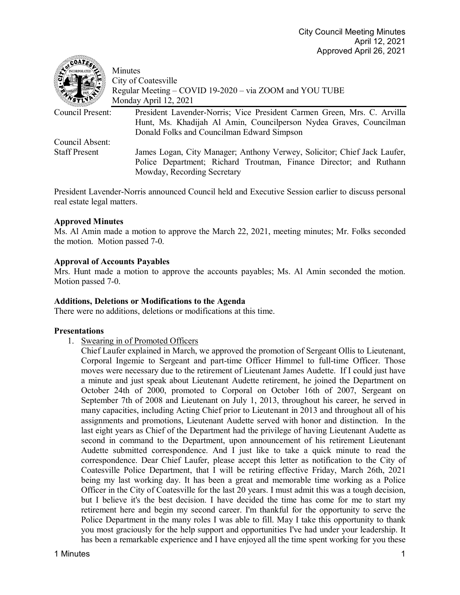| $\epsilon$ coate.    | Minutes<br>City of Coatesville<br>Regular Meeting – COVID 19-2020 – via ZOOM and YOU TUBE<br>Monday April 12, 2021 |
|----------------------|--------------------------------------------------------------------------------------------------------------------|
| Council Present:     | President Lavender-Norris; Vice President Carmen Green, Mrs. C. Arvilla                                            |
|                      | Hunt, Ms. Khadijah Al Amin, Councilperson Nydea Graves, Councilman                                                 |
|                      | Donald Folks and Councilman Edward Simpson                                                                         |
| Council Absent:      |                                                                                                                    |
| <b>Staff Present</b> | James Logan, City Manager; Anthony Verwey, Solicitor; Chief Jack Laufer,                                           |
|                      | Police Department; Richard Troutman, Finance Director; and Ruthann                                                 |
|                      | Mowday, Recording Secretary                                                                                        |

President Lavender-Norris announced Council held and Executive Session earlier to discuss personal real estate legal matters.

# **Approved Minutes**

**STAR DOWN** 

Ms. Al Amin made a motion to approve the March 22, 2021, meeting minutes; Mr. Folks seconded the motion. Motion passed 7-0.

### **Approval of Accounts Payables**

Mrs. Hunt made a motion to approve the accounts payables; Ms. Al Amin seconded the motion. Motion passed 7-0.

#### **Additions, Deletions or Modifications to the Agenda**

There were no additions, deletions or modifications at this time.

#### **Presentations**

1. Swearing in of Promoted Officers

Chief Laufer explained in March, we approved the promotion of Sergeant Ollis to Lieutenant, Corporal Ingemie to Sergeant and part-time Officer Himmel to full-time Officer. Those moves were necessary due to the retirement of Lieutenant James Audette. If I could just have a minute and just speak about Lieutenant Audette retirement, he joined the Department on October 24th of 2000, promoted to Corporal on October 16th of 2007, Sergeant on September 7th of 2008 and Lieutenant on July 1, 2013, throughout his career, he served in many capacities, including Acting Chief prior to Lieutenant in 2013 and throughout all of his assignments and promotions, Lieutenant Audette served with honor and distinction. In the last eight years as Chief of the Department had the privilege of having Lieutenant Audette as second in command to the Department, upon announcement of his retirement Lieutenant Audette submitted correspondence. And I just like to take a quick minute to read the correspondence. Dear Chief Laufer, please accept this letter as notification to the City of Coatesville Police Department, that I will be retiring effective Friday, March 26th, 2021 being my last working day. It has been a great and memorable time working as a Police Officer in the City of Coatesville for the last 20 years. I must admit this was a tough decision, but I believe it's the best decision. I have decided the time has come for me to start my retirement here and begin my second career. I'm thankful for the opportunity to serve the Police Department in the many roles I was able to fill. May I take this opportunity to thank you most graciously for the help support and opportunities I've had under your leadership. It has been a remarkable experience and I have enjoyed all the time spent working for you these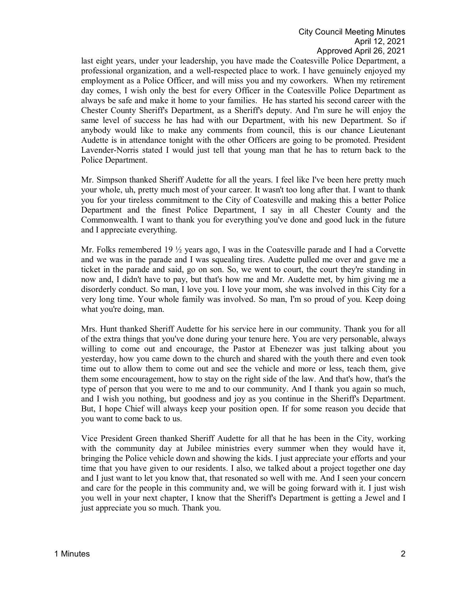last eight years, under your leadership, you have made the Coatesville Police Department, a professional organization, and a well-respected place to work. I have genuinely enjoyed my employment as a Police Officer, and will miss you and my coworkers. When my retirement day comes, I wish only the best for every Officer in the Coatesville Police Department as always be safe and make it home to your families. He has started his second career with the Chester County Sheriff's Department, as a Sheriff's deputy. And I'm sure he will enjoy the same level of success he has had with our Department, with his new Department. So if anybody would like to make any comments from council, this is our chance Lieutenant Audette is in attendance tonight with the other Officers are going to be promoted. President Lavender-Norris stated I would just tell that young man that he has to return back to the Police Department.

Mr. Simpson thanked Sheriff Audette for all the years. I feel like I've been here pretty much your whole, uh, pretty much most of your career. It wasn't too long after that. I want to thank you for your tireless commitment to the City of Coatesville and making this a better Police Department and the finest Police Department, I say in all Chester County and the Commonwealth. I want to thank you for everything you've done and good luck in the future and I appreciate everything.

Mr. Folks remembered 19  $\frac{1}{2}$  years ago, I was in the Coatesville parade and I had a Corvette and we was in the parade and I was squealing tires. Audette pulled me over and gave me a ticket in the parade and said, go on son. So, we went to court, the court they're standing in now and, I didn't have to pay, but that's how me and Mr. Audette met, by him giving me a disorderly conduct. So man, I love you. I love your mom, she was involved in this City for a very long time. Your whole family was involved. So man, I'm so proud of you. Keep doing what you're doing, man.

Mrs. Hunt thanked Sheriff Audette for his service here in our community. Thank you for all of the extra things that you've done during your tenure here. You are very personable, always willing to come out and encourage, the Pastor at Ebenezer was just talking about you yesterday, how you came down to the church and shared with the youth there and even took time out to allow them to come out and see the vehicle and more or less, teach them, give them some encouragement, how to stay on the right side of the law. And that's how, that's the type of person that you were to me and to our community. And I thank you again so much, and I wish you nothing, but goodness and joy as you continue in the Sheriff's Department. But, I hope Chief will always keep your position open. If for some reason you decide that you want to come back to us.

Vice President Green thanked Sheriff Audette for all that he has been in the City, working with the community day at Jubilee ministries every summer when they would have it, bringing the Police vehicle down and showing the kids. I just appreciate your efforts and your time that you have given to our residents. I also, we talked about a project together one day and I just want to let you know that, that resonated so well with me. And I seen your concern and care for the people in this community and, we will be going forward with it. I just wish you well in your next chapter, I know that the Sheriff's Department is getting a Jewel and I just appreciate you so much. Thank you.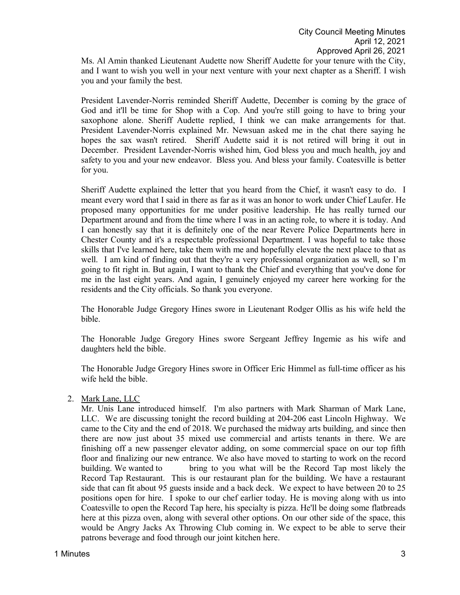Ms. Al Amin thanked Lieutenant Audette now Sheriff Audette for your tenure with the City, and I want to wish you well in your next venture with your next chapter as a Sheriff. I wish you and your family the best.

President Lavender-Norris reminded Sheriff Audette, December is coming by the grace of God and it'll be time for Shop with a Cop. And you're still going to have to bring your saxophone alone. Sheriff Audette replied, I think we can make arrangements for that. President Lavender-Norris explained Mr. Newsuan asked me in the chat there saying he hopes the sax wasn't retired. Sheriff Audette said it is not retired will bring it out in December. President Lavender-Norris wished him, God bless you and much health, joy and safety to you and your new endeavor. Bless you. And bless your family. Coatesville is better for you.

Sheriff Audette explained the letter that you heard from the Chief, it wasn't easy to do. I meant every word that I said in there as far as it was an honor to work under Chief Laufer. He proposed many opportunities for me under positive leadership. He has really turned our Department around and from the time where I was in an acting role, to where it is today. And I can honestly say that it is definitely one of the near Revere Police Departments here in Chester County and it's a respectable professional Department. I was hopeful to take those skills that I've learned here, take them with me and hopefully elevate the next place to that as well. I am kind of finding out that they're a very professional organization as well, so I'm going to fit right in. But again, I want to thank the Chief and everything that you've done for me in the last eight years. And again, I genuinely enjoyed my career here working for the residents and the City officials. So thank you everyone.

The Honorable Judge Gregory Hines swore in Lieutenant Rodger Ollis as his wife held the bible.

The Honorable Judge Gregory Hines swore Sergeant Jeffrey Ingemie as his wife and daughters held the bible.

The Honorable Judge Gregory Hines swore in Officer Eric Himmel as full-time officer as his wife held the bible.

2. Mark Lane, LLC

Mr. Unis Lane introduced himself. I'm also partners with Mark Sharman of Mark Lane, LLC. We are discussing tonight the record building at 204-206 east Lincoln Highway. We came to the City and the end of 2018. We purchased the midway arts building, and since then there are now just about 35 mixed use commercial and artists tenants in there. We are finishing off a new passenger elevator adding, on some commercial space on our top fifth floor and finalizing our new entrance. We also have moved to starting to work on the record building. We wanted to bring to you what will be the Record Tap most likely the Record Tap Restaurant. This is our restaurant plan for the building. We have a restaurant side that can fit about 95 guests inside and a back deck. We expect to have between 20 to 25 positions open for hire. I spoke to our chef earlier today. He is moving along with us into Coatesville to open the Record Tap here, his specialty is pizza. He'll be doing some flatbreads here at this pizza oven, along with several other options. On our other side of the space, this would be Angry Jacks Ax Throwing Club coming in. We expect to be able to serve their patrons beverage and food through our joint kitchen here.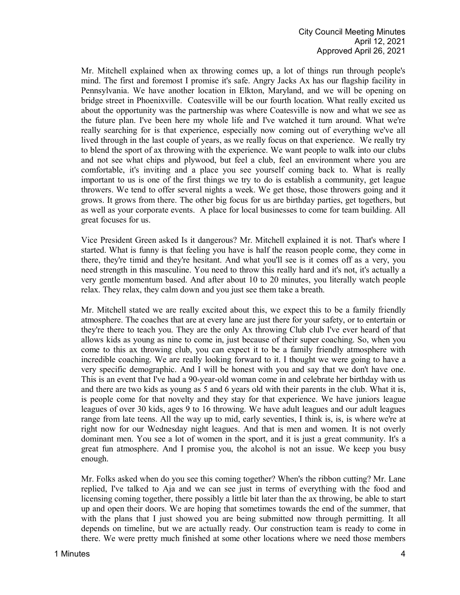Mr. Mitchell explained when ax throwing comes up, a lot of things run through people's mind. The first and foremost I promise it's safe. Angry Jacks Ax has our flagship facility in Pennsylvania. We have another location in Elkton, Maryland, and we will be opening on bridge street in Phoenixville. Coatesville will be our fourth location. What really excited us about the opportunity was the partnership was where Coatesville is now and what we see as the future plan. I've been here my whole life and I've watched it turn around. What we're really searching for is that experience, especially now coming out of everything we've all lived through in the last couple of years, as we really focus on that experience. We really try to blend the sport of ax throwing with the experience. We want people to walk into our clubs and not see what chips and plywood, but feel a club, feel an environment where you are comfortable, it's inviting and a place you see yourself coming back to. What is really important to us is one of the first things we try to do is establish a community, get league throwers. We tend to offer several nights a week. We get those, those throwers going and it grows. It grows from there. The other big focus for us are birthday parties, get togethers, but as well as your corporate events. A place for local businesses to come for team building. All great focuses for us.

Vice President Green asked Is it dangerous? Mr. Mitchell explained it is not. That's where I started. What is funny is that feeling you have is half the reason people come, they come in there, they're timid and they're hesitant. And what you'll see is it comes off as a very, you need strength in this masculine. You need to throw this really hard and it's not, it's actually a very gentle momentum based. And after about 10 to 20 minutes, you literally watch people relax. They relax, they calm down and you just see them take a breath.

Mr. Mitchell stated we are really excited about this, we expect this to be a family friendly atmosphere. The coaches that are at every lane are just there for your safety, or to entertain or they're there to teach you. They are the only Ax throwing Club club I've ever heard of that allows kids as young as nine to come in, just because of their super coaching. So, when you come to this ax throwing club, you can expect it to be a family friendly atmosphere with incredible coaching. We are really looking forward to it. I thought we were going to have a very specific demographic. And I will be honest with you and say that we don't have one. This is an event that I've had a 90-year-old woman come in and celebrate her birthday with us and there are two kids as young as 5 and 6 years old with their parents in the club. What it is, is people come for that novelty and they stay for that experience. We have juniors league leagues of over 30 kids, ages 9 to 16 throwing. We have adult leagues and our adult leagues range from late teens. All the way up to mid, early seventies, I think is, is, is where we're at right now for our Wednesday night leagues. And that is men and women. It is not overly dominant men. You see a lot of women in the sport, and it is just a great community. It's a great fun atmosphere. And I promise you, the alcohol is not an issue. We keep you busy enough.

Mr. Folks asked when do you see this coming together? When's the ribbon cutting? Mr. Lane replied, I've talked to Aja and we can see just in terms of everything with the food and licensing coming together, there possibly a little bit later than the ax throwing, be able to start up and open their doors. We are hoping that sometimes towards the end of the summer, that with the plans that I just showed you are being submitted now through permitting. It all depends on timeline, but we are actually ready. Our construction team is ready to come in there. We were pretty much finished at some other locations where we need those members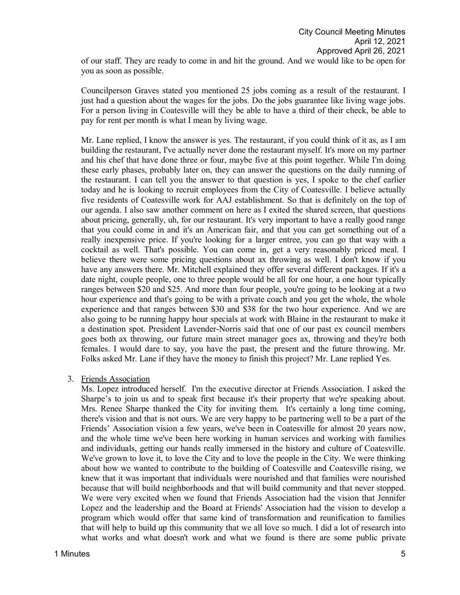of our staff. They are ready to come in and hit the ground. And we would like to be open for you as soon as possible.

Councilperson Graves stated you mentioned 25 jobs coming as a result of the restaurant. I just had a question about the wages for the jobs. Do the jobs guarantee like living wage jobs. For a person living in Coatesville will they be able to have a third of their check, be able to pay for rent per month is what I mean by living wage.

Mr. Lane replied, I know the answer is yes. The restaurant, if you could think of it as, as I am building the restaurant, I've actually never done the restaurant myself. It's more on my partner and his chef that have done three or four, maybe five at this point together. While I'm doing these early phases, probably later on, they can answer the questions on the daily running of the restaurant. I can tell you the answer to that question is yes, I spoke to the chef earlier today and he is looking to recruit employees from the City of Coatesville. I believe actually five residents of Coatesville work for AAJ establishment. So that is definitely on the top of our agenda. I also saw another comment on here as I exited the shared screen, that questions about pricing, generally, uh, for our restaurant. It's very important to have a really good range that you could come in and it's an American fair, and that you can get something out of a really inexpensive price. If you're looking for a larger entree, you can go that way with a cocktail as well. That's possible. You can come in, get a very reasonably priced meal. I believe there were some pricing questions about ax throwing as well. I don't know if you have any answers there. Mr. Mitchell explained they offer several different packages. If it's a date night, couple people, one to three people would be all for one hour, a one hour typically ranges between \$20 and \$25. And more than four people, you're going to be looking at a two hour experience and that's going to be with a private coach and you get the whole, the whole experience and that ranges between \$30 and \$38 for the two hour experience. And we are also going to be running happy hour specials at work with Blaine in the restaurant to make it a destination spot. President Lavender-Norris said that one of our past ex council members goes both ax throwing, our future main street manager goes ax, throwing and they're both females. I would dare to say, you have the past, the present and the future throwing. Mr. Folks asked Mr. Lane if they have the money to finish this project? Mr. Lane replied Yes.

#### 3. Friends Association

Ms. Lopez introduced herself. I'm the executive director at Friends Association. I asked the Sharpe's to join us and to speak first because it's their property that we're speaking about. Mrs. Renee Sharpe thanked the City for inviting them. It's certainly a long time coming, there's vision and that is not ours. We are very happy to be partnering well to be a part of the Friends' Association vision a few years, we've been in Coatesville for almost 20 years now, and the whole time we've been here working in human services and working with families and individuals, getting our hands really immersed in the history and culture of Coatesville. We've grown to love it, to love the City and to love the people in the City. We were thinking about how we wanted to contribute to the building of Coatesville and Coatesville rising, we knew that it was important that individuals were nourished and that families were nourished because that will build neighborhoods and that will build community and that never stopped. We were very excited when we found that Friends Association had the vision that Jennifer Lopez and the leadership and the Board at Friends' Association had the vision to develop a program which would offer that same kind of transformation and reunification to families that will help to build up this community that we all love so much. I did a lot of research into what works and what doesn't work and what we found is there are some public private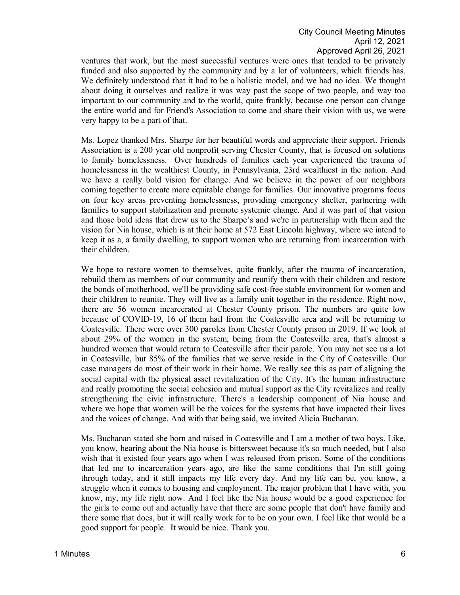ventures that work, but the most successful ventures were ones that tended to be privately funded and also supported by the community and by a lot of volunteers, which friends has. We definitely understood that it had to be a holistic model, and we had no idea. We thought about doing it ourselves and realize it was way past the scope of two people, and way too important to our community and to the world, quite frankly, because one person can change the entire world and for Friend's Association to come and share their vision with us, we were very happy to be a part of that.

Ms. Lopez thanked Mrs. Sharpe for her beautiful words and appreciate their support. Friends Association is a 200 year old nonprofit serving Chester County, that is focused on solutions to family homelessness. Over hundreds of families each year experienced the trauma of homelessness in the wealthiest County, in Pennsylvania, 23rd wealthiest in the nation. And we have a really bold vision for change. And we believe in the power of our neighbors coming together to create more equitable change for families. Our innovative programs focus on four key areas preventing homelessness, providing emergency shelter, partnering with families to support stabilization and promote systemic change. And it was part of that vision and those bold ideas that drew us to the Sharpe's and we're in partnership with them and the vision for Nia house, which is at their home at 572 East Lincoln highway, where we intend to keep it as a, a family dwelling, to support women who are returning from incarceration with their children.

We hope to restore women to themselves, quite frankly, after the trauma of incarceration, rebuild them as members of our community and reunify them with their children and restore the bonds of motherhood, we'll be providing safe cost-free stable environment for women and their children to reunite. They will live as a family unit together in the residence. Right now, there are 56 women incarcerated at Chester County prison. The numbers are quite low because of COVID-19, 16 of them hail from the Coatesville area and will be returning to Coatesville. There were over 300 paroles from Chester County prison in 2019. If we look at about 29% of the women in the system, being from the Coatesville area, that's almost a hundred women that would return to Coatesville after their parole. You may not see us a lot in Coatesville, but 85% of the families that we serve reside in the City of Coatesville. Our case managers do most of their work in their home. We really see this as part of aligning the social capital with the physical asset revitalization of the City. It's the human infrastructure and really promoting the social cohesion and mutual support as the City revitalizes and really strengthening the civic infrastructure. There's a leadership component of Nia house and where we hope that women will be the voices for the systems that have impacted their lives and the voices of change. And with that being said, we invited Alicia Buchanan.

Ms. Buchanan stated she born and raised in Coatesville and I am a mother of two boys. Like, you know, hearing about the Nia house is bittersweet because it's so much needed, but I also wish that it existed four years ago when I was released from prison. Some of the conditions that led me to incarceration years ago, are like the same conditions that I'm still going through today, and it still impacts my life every day. And my life can be, you know, a struggle when it comes to housing and employment. The major problem that I have with, you know, my, my life right now. And I feel like the Nia house would be a good experience for the girls to come out and actually have that there are some people that don't have family and there some that does, but it will really work for to be on your own. I feel like that would be a good support for people. It would be nice. Thank you.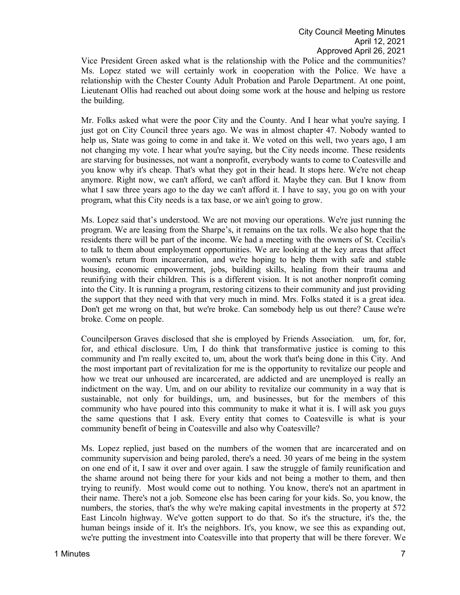Vice President Green asked what is the relationship with the Police and the communities? Ms. Lopez stated we will certainly work in cooperation with the Police. We have a relationship with the Chester County Adult Probation and Parole Department. At one point, Lieutenant Ollis had reached out about doing some work at the house and helping us restore the building.

Mr. Folks asked what were the poor City and the County. And I hear what you're saying. I just got on City Council three years ago. We was in almost chapter 47. Nobody wanted to help us, State was going to come in and take it. We voted on this well, two years ago, I am not changing my vote. I hear what you're saying, but the City needs income. These residents are starving for businesses, not want a nonprofit, everybody wants to come to Coatesville and you know why it's cheap. That's what they got in their head. It stops here. We're not cheap anymore. Right now, we can't afford, we can't afford it. Maybe they can. But I know from what I saw three years ago to the day we can't afford it. I have to say, you go on with your program, what this City needs is a tax base, or we ain't going to grow.

Ms. Lopez said that's understood. We are not moving our operations. We're just running the program. We are leasing from the Sharpe's, it remains on the tax rolls. We also hope that the residents there will be part of the income. We had a meeting with the owners of St. Cecilia's to talk to them about employment opportunities. We are looking at the key areas that affect women's return from incarceration, and we're hoping to help them with safe and stable housing, economic empowerment, jobs, building skills, healing from their trauma and reunifying with their children. This is a different vision. It is not another nonprofit coming into the City. It is running a program, restoring citizens to their community and just providing the support that they need with that very much in mind. Mrs. Folks stated it is a great idea. Don't get me wrong on that, but we're broke. Can somebody help us out there? Cause we're broke. Come on people.

Councilperson Graves disclosed that she is employed by Friends Association. um, for, for, for, and ethical disclosure. Um, I do think that transformative justice is coming to this community and I'm really excited to, um, about the work that's being done in this City. And the most important part of revitalization for me is the opportunity to revitalize our people and how we treat our unhoused are incarcerated, are addicted and are unemployed is really an indictment on the way. Um, and on our ability to revitalize our community in a way that is sustainable, not only for buildings, um, and businesses, but for the members of this community who have poured into this community to make it what it is. I will ask you guys the same questions that I ask. Every entity that comes to Coatesville is what is your community benefit of being in Coatesville and also why Coatesville?

Ms. Lopez replied, just based on the numbers of the women that are incarcerated and on community supervision and being paroled, there's a need. 30 years of me being in the system on one end of it, I saw it over and over again. I saw the struggle of family reunification and the shame around not being there for your kids and not being a mother to them, and then trying to reunify. Most would come out to nothing. You know, there's not an apartment in their name. There's not a job. Someone else has been caring for your kids. So, you know, the numbers, the stories, that's the why we're making capital investments in the property at 572 East Lincoln highway. We've gotten support to do that. So it's the structure, it's the, the human beings inside of it. It's the neighbors. It's, you know, we see this as expanding out, we're putting the investment into Coatesville into that property that will be there forever. We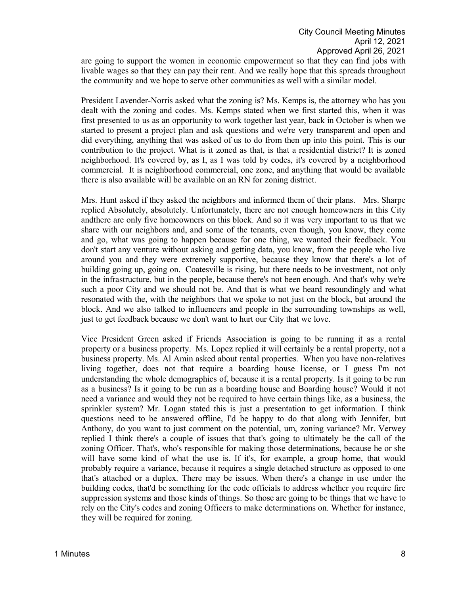are going to support the women in economic empowerment so that they can find jobs with livable wages so that they can pay their rent. And we really hope that this spreads throughout the community and we hope to serve other communities as well with a similar model.

President Lavender-Norris asked what the zoning is? Ms. Kemps is, the attorney who has you dealt with the zoning and codes. Ms. Kemps stated when we first started this, when it was first presented to us as an opportunity to work together last year, back in October is when we started to present a project plan and ask questions and we're very transparent and open and did everything, anything that was asked of us to do from then up into this point. This is our contribution to the project. What is it zoned as that, is that a residential district? It is zoned neighborhood. It's covered by, as I, as I was told by codes, it's covered by a neighborhood commercial. It is neighborhood commercial, one zone, and anything that would be available there is also available will be available on an RN for zoning district.

Mrs. Hunt asked if they asked the neighbors and informed them of their plans. Mrs. Sharpe replied Absolutely, absolutely. Unfortunately, there are not enough homeowners in this City andthere are only five homeowners on this block. And so it was very important to us that we share with our neighbors and, and some of the tenants, even though, you know, they come and go, what was going to happen because for one thing, we wanted their feedback. You don't start any venture without asking and getting data, you know, from the people who live around you and they were extremely supportive, because they know that there's a lot of building going up, going on. Coatesville is rising, but there needs to be investment, not only in the infrastructure, but in the people, because there's not been enough. And that's why we're such a poor City and we should not be. And that is what we heard resoundingly and what resonated with the, with the neighbors that we spoke to not just on the block, but around the block. And we also talked to influencers and people in the surrounding townships as well, just to get feedback because we don't want to hurt our City that we love.

Vice President Green asked if Friends Association is going to be running it as a rental property or a business property. Ms. Lopez replied it will certainly be a rental property, not a business property. Ms. Al Amin asked about rental properties. When you have non-relatives living together, does not that require a boarding house license, or I guess I'm not understanding the whole demographics of, because it is a rental property. Is it going to be run as a business? Is it going to be run as a boarding house and Boarding house? Would it not need a variance and would they not be required to have certain things like, as a business, the sprinkler system? Mr. Logan stated this is just a presentation to get information. I think questions need to be answered offline, I'd be happy to do that along with Jennifer, but Anthony, do you want to just comment on the potential, um, zoning variance? Mr. Verwey replied I think there's a couple of issues that that's going to ultimately be the call of the zoning Officer. That's, who's responsible for making those determinations, because he or she will have some kind of what the use is. If it's, for example, a group home, that would probably require a variance, because it requires a single detached structure as opposed to one that's attached or a duplex. There may be issues. When there's a change in use under the building codes, that'd be something for the code officials to address whether you require fire suppression systems and those kinds of things. So those are going to be things that we have to rely on the City's codes and zoning Officers to make determinations on. Whether for instance, they will be required for zoning.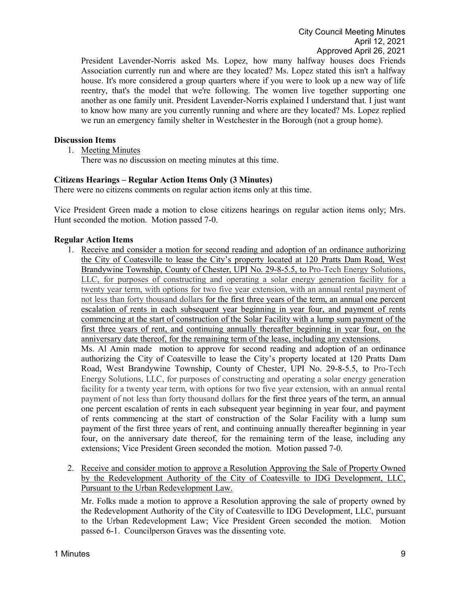President Lavender-Norris asked Ms. Lopez, how many halfway houses does Friends Association currently run and where are they located? Ms. Lopez stated this isn't a halfway house. It's more considered a group quarters where if you were to look up a new way of life reentry, that's the model that we're following. The women live together supporting one another as one family unit. President Lavender-Norris explained I understand that. I just want to know how many are you currently running and where are they located? Ms. Lopez replied we run an emergency family shelter in Westchester in the Borough (not a group home).

# **Discussion Items**

1. Meeting Minutes

There was no discussion on meeting minutes at this time.

### **Citizens Hearings – Regular Action Items Only (3 Minutes)**

There were no citizens comments on regular action items only at this time.

Vice President Green made a motion to close citizens hearings on regular action items only; Mrs. Hunt seconded the motion. Motion passed 7-0.

### **Regular Action Items**

1. Receive and consider a motion for second reading and adoption of an ordinance authorizing the City of Coatesville to lease the City's property located at 120 Pratts Dam Road, West Brandywine Township, County of Chester, UPI No. 29-8-5.5, to Pro-Tech Energy Solutions, LLC, for purposes of constructing and operating a solar energy generation facility for a twenty year term, with options for two five year extension, with an annual rental payment of not less than forty thousand dollars for the first three years of the term, an annual one percent escalation of rents in each subsequent year beginning in year four, and payment of rents commencing at the start of construction of the Solar Facility with a lump sum payment of the first three years of rent, and continuing annually thereafter beginning in year four, on the anniversary date thereof, for the remaining term of the lease, including any extensions. Ms. Al Amin made motion to approve for second reading and adoption of an ordinance authorizing the City of Coatesville to lease the City's property located at 120 Pratts Dam

Road, West Brandywine Township, County of Chester, UPI No. 29-8-5.5, to Pro-Tech Energy Solutions, LLC, for purposes of constructing and operating a solar energy generation facility for a twenty year term, with options for two five year extension, with an annual rental payment of not less than forty thousand dollars for the first three years of the term, an annual one percent escalation of rents in each subsequent year beginning in year four, and payment of rents commencing at the start of construction of the Solar Facility with a lump sum payment of the first three years of rent, and continuing annually thereafter beginning in year four, on the anniversary date thereof, for the remaining term of the lease, including any extensions; Vice President Green seconded the motion. Motion passed 7-0.

2. Receive and consider motion to approve a Resolution Approving the Sale of Property Owned by the Redevelopment Authority of the City of Coatesville to IDG Development, LLC, Pursuant to the Urban Redevelopment Law.

Mr. Folks made a motion to approve a Resolution approving the sale of property owned by the Redevelopment Authority of the City of Coatesville to IDG Development, LLC, pursuant to the Urban Redevelopment Law; Vice President Green seconded the motion. Motion passed 6-1. Councilperson Graves was the dissenting vote.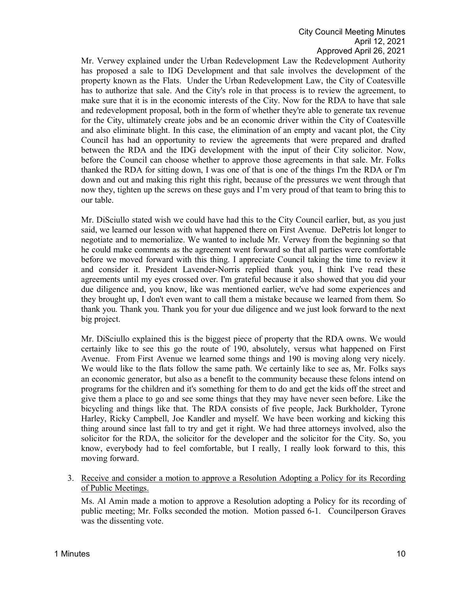Mr. Verwey explained under the Urban Redevelopment Law the Redevelopment Authority has proposed a sale to IDG Development and that sale involves the development of the property known as the Flats. Under the Urban Redevelopment Law, the City of Coatesville has to authorize that sale. And the City's role in that process is to review the agreement, to make sure that it is in the economic interests of the City. Now for the RDA to have that sale and redevelopment proposal, both in the form of whether they're able to generate tax revenue for the City, ultimately create jobs and be an economic driver within the City of Coatesville and also eliminate blight. In this case, the elimination of an empty and vacant plot, the City Council has had an opportunity to review the agreements that were prepared and drafted between the RDA and the IDG development with the input of their City solicitor. Now, before the Council can choose whether to approve those agreements in that sale. Mr. Folks thanked the RDA for sitting down, I was one of that is one of the things I'm the RDA or I'm down and out and making this right this right, because of the pressures we went through that now they, tighten up the screws on these guys and I'm very proud of that team to bring this to our table.

Mr. DiSciullo stated wish we could have had this to the City Council earlier, but, as you just said, we learned our lesson with what happened there on First Avenue. DePetris lot longer to negotiate and to memorialize. We wanted to include Mr. Verwey from the beginning so that he could make comments as the agreement went forward so that all parties were comfortable before we moved forward with this thing. I appreciate Council taking the time to review it and consider it. President Lavender-Norris replied thank you, I think I've read these agreements until my eyes crossed over. I'm grateful because it also showed that you did your due diligence and, you know, like was mentioned earlier, we've had some experiences and they brought up, I don't even want to call them a mistake because we learned from them. So thank you. Thank you. Thank you for your due diligence and we just look forward to the next big project.

Mr. DiSciullo explained this is the biggest piece of property that the RDA owns. We would certainly like to see this go the route of 190, absolutely, versus what happened on First Avenue. From First Avenue we learned some things and 190 is moving along very nicely. We would like to the flats follow the same path. We certainly like to see as, Mr. Folks says an economic generator, but also as a benefit to the community because these felons intend on programs for the children and it's something for them to do and get the kids off the street and give them a place to go and see some things that they may have never seen before. Like the bicycling and things like that. The RDA consists of five people, Jack Burkholder, Tyrone Harley, Ricky Campbell, Joe Kandler and myself. We have been working and kicking this thing around since last fall to try and get it right. We had three attorneys involved, also the solicitor for the RDA, the solicitor for the developer and the solicitor for the City. So, you know, everybody had to feel comfortable, but I really, I really look forward to this, this moving forward.

3. Receive and consider a motion to approve a Resolution Adopting a Policy for its Recording of Public Meetings.

Ms. Al Amin made a motion to approve a Resolution adopting a Policy for its recording of public meeting; Mr. Folks seconded the motion. Motion passed 6-1. Councilperson Graves was the dissenting vote.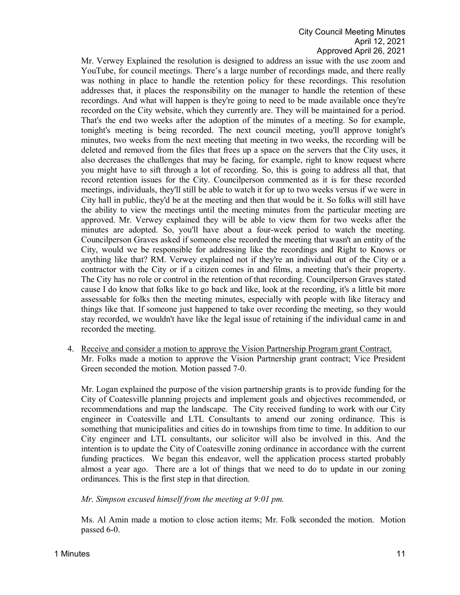Mr. Verwey Explained the resolution is designed to address an issue with the use zoom and YouTube, for council meetings. There's a large number of recordings made, and there really was nothing in place to handle the retention policy for these recordings. This resolution addresses that, it places the responsibility on the manager to handle the retention of these recordings. And what will happen is they're going to need to be made available once they're recorded on the City website, which they currently are. They will be maintained for a period. That's the end two weeks after the adoption of the minutes of a meeting. So for example, tonight's meeting is being recorded. The next council meeting, you'll approve tonight's minutes, two weeks from the next meeting that meeting in two weeks, the recording will be deleted and removed from the files that frees up a space on the servers that the City uses, it also decreases the challenges that may be facing, for example, right to know request where you might have to sift through a lot of recording. So, this is going to address all that, that record retention issues for the City. Councilperson commented as it is for these recorded meetings, individuals, they'll still be able to watch it for up to two weeks versus if we were in City hall in public, they'd be at the meeting and then that would be it. So folks will still have the ability to view the meetings until the meeting minutes from the particular meeting are approved. Mr. Verwey explained they will be able to view them for two weeks after the minutes are adopted. So, you'll have about a four-week period to watch the meeting. Councilperson Graves asked if someone else recorded the meeting that wasn't an entity of the City, would we be responsible for addressing like the recordings and Right to Knows or anything like that? RM. Verwey explained not if they're an individual out of the City or a contractor with the City or if a citizen comes in and films, a meeting that's their property. The City has no role or control in the retention of that recording. Councilperson Graves stated cause I do know that folks like to go back and like, look at the recording, it's a little bit more assessable for folks then the meeting minutes, especially with people with like literacy and things like that. If someone just happened to take over recording the meeting, so they would stay recorded, we wouldn't have like the legal issue of retaining if the individual came in and recorded the meeting.

4. Receive and consider a motion to approve the Vision Partnership Program grant Contract. Mr. Folks made a motion to approve the Vision Partnership grant contract; Vice President Green seconded the motion. Motion passed 7-0.

Mr. Logan explained the purpose of the vision partnership grants is to provide funding for the City of Coatesville planning projects and implement goals and objectives recommended, or recommendations and map the landscape. The City received funding to work with our City engineer in Coatesville and LTL Consultants to amend our zoning ordinance. This is something that municipalities and cities do in townships from time to time. In addition to our City engineer and LTL consultants, our solicitor will also be involved in this. And the intention is to update the City of Coatesville zoning ordinance in accordance with the current funding practices. We began this endeavor, well the application process started probably almost a year ago. There are a lot of things that we need to do to update in our zoning ordinances. This is the first step in that direction.

# *Mr. Simpson excused himself from the meeting at 9:01 pm.*

Ms. Al Amin made a motion to close action items; Mr. Folk seconded the motion. Motion passed 6-0.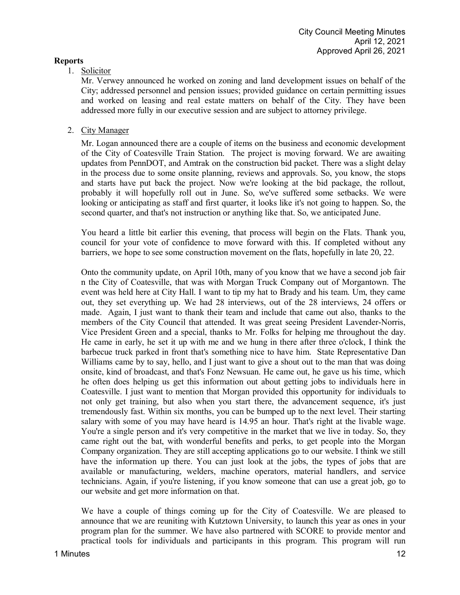# **Reports**

# 1. Solicitor

Mr. Verwey announced he worked on zoning and land development issues on behalf of the City; addressed personnel and pension issues; provided guidance on certain permitting issues and worked on leasing and real estate matters on behalf of the City. They have been addressed more fully in our executive session and are subject to attorney privilege.

# 2. City Manager

Mr. Logan announced there are a couple of items on the business and economic development of the City of Coatesville Train Station. The project is moving forward. We are awaiting updates from PennDOT, and Amtrak on the construction bid packet. There was a slight delay in the process due to some onsite planning, reviews and approvals. So, you know, the stops and starts have put back the project. Now we're looking at the bid package, the rollout, probably it will hopefully roll out in June. So, we've suffered some setbacks. We were looking or anticipating as staff and first quarter, it looks like it's not going to happen. So, the second quarter, and that's not instruction or anything like that. So, we anticipated June.

You heard a little bit earlier this evening, that process will begin on the Flats. Thank you, council for your vote of confidence to move forward with this. If completed without any barriers, we hope to see some construction movement on the flats, hopefully in late 20, 22.

Onto the community update, on April 10th, many of you know that we have a second job fair n the City of Coatesville, that was with Morgan Truck Company out of Morgantown. The event was held here at City Hall. I want to tip my hat to Brady and his team. Um, they came out, they set everything up. We had 28 interviews, out of the 28 interviews, 24 offers or made. Again, I just want to thank their team and include that came out also, thanks to the members of the City Council that attended. It was great seeing President Lavender-Norris, Vice President Green and a special, thanks to Mr. Folks for helping me throughout the day. He came in early, he set it up with me and we hung in there after three o'clock, I think the barbecue truck parked in front that's something nice to have him. State Representative Dan Williams came by to say, hello, and I just want to give a shout out to the man that was doing onsite, kind of broadcast, and that's Fonz Newsuan. He came out, he gave us his time, which he often does helping us get this information out about getting jobs to individuals here in Coatesville. I just want to mention that Morgan provided this opportunity for individuals to not only get training, but also when you start there, the advancement sequence, it's just tremendously fast. Within six months, you can be bumped up to the next level. Their starting salary with some of you may have heard is 14.95 an hour. That's right at the livable wage. You're a single person and it's very competitive in the market that we live in today. So, they came right out the bat, with wonderful benefits and perks, to get people into the Morgan Company organization. They are still accepting applications go to our website. I think we still have the information up there. You can just look at the jobs, the types of jobs that are available or manufacturing, welders, machine operators, material handlers, and service technicians. Again, if you're listening, if you know someone that can use a great job, go to our website and get more information on that.

We have a couple of things coming up for the City of Coatesville. We are pleased to announce that we are reuniting with Kutztown University, to launch this year as ones in your program plan for the summer. We have also partnered with SCORE to provide mentor and practical tools for individuals and participants in this program. This program will run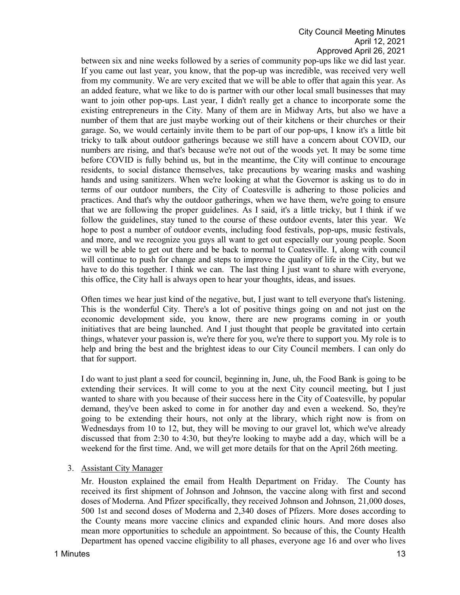between six and nine weeks followed by a series of community pop-ups like we did last year. If you came out last year, you know, that the pop-up was incredible, was received very well from my community. We are very excited that we will be able to offer that again this year. As an added feature, what we like to do is partner with our other local small businesses that may want to join other pop-ups. Last year, I didn't really get a chance to incorporate some the existing entrepreneurs in the City. Many of them are in Midway Arts, but also we have a number of them that are just maybe working out of their kitchens or their churches or their garage. So, we would certainly invite them to be part of our pop-ups, I know it's a little bit tricky to talk about outdoor gatherings because we still have a concern about COVID, our numbers are rising, and that's because we're not out of the woods yet. It may be some time before COVID is fully behind us, but in the meantime, the City will continue to encourage residents, to social distance themselves, take precautions by wearing masks and washing hands and using sanitizers. When we're looking at what the Governor is asking us to do in terms of our outdoor numbers, the City of Coatesville is adhering to those policies and practices. And that's why the outdoor gatherings, when we have them, we're going to ensure that we are following the proper guidelines. As I said, it's a little tricky, but I think if we follow the guidelines, stay tuned to the course of these outdoor events, later this year. We hope to post a number of outdoor events, including food festivals, pop-ups, music festivals, and more, and we recognize you guys all want to get out especially our young people. Soon we will be able to get out there and be back to normal to Coatesville. I, along with council will continue to push for change and steps to improve the quality of life in the City, but we have to do this together. I think we can. The last thing I just want to share with everyone, this office, the City hall is always open to hear your thoughts, ideas, and issues.

Often times we hear just kind of the negative, but, I just want to tell everyone that's listening. This is the wonderful City. There's a lot of positive things going on and not just on the economic development side, you know, there are new programs coming in or youth initiatives that are being launched. And I just thought that people be gravitated into certain things, whatever your passion is, we're there for you, we're there to support you. My role is to help and bring the best and the brightest ideas to our City Council members. I can only do that for support.

I do want to just plant a seed for council, beginning in, June, uh, the Food Bank is going to be extending their services. It will come to you at the next City council meeting, but I just wanted to share with you because of their success here in the City of Coatesville, by popular demand, they've been asked to come in for another day and even a weekend. So, they're going to be extending their hours, not only at the library, which right now is from on Wednesdays from 10 to 12, but, they will be moving to our gravel lot, which we've already discussed that from 2:30 to 4:30, but they're looking to maybe add a day, which will be a weekend for the first time. And, we will get more details for that on the April 26th meeting.

3. Assistant City Manager

Mr. Houston explained the email from Health Department on Friday. The County has received its first shipment of Johnson and Johnson, the vaccine along with first and second doses of Moderna. And Pfizer specifically, they received Johnson and Johnson, 21,000 doses, 500 1st and second doses of Moderna and 2,340 doses of Pfizers. More doses according to the County means more vaccine clinics and expanded clinic hours. And more doses also mean more opportunities to schedule an appointment. So because of this, the County Health Department has opened vaccine eligibility to all phases, everyone age 16 and over who lives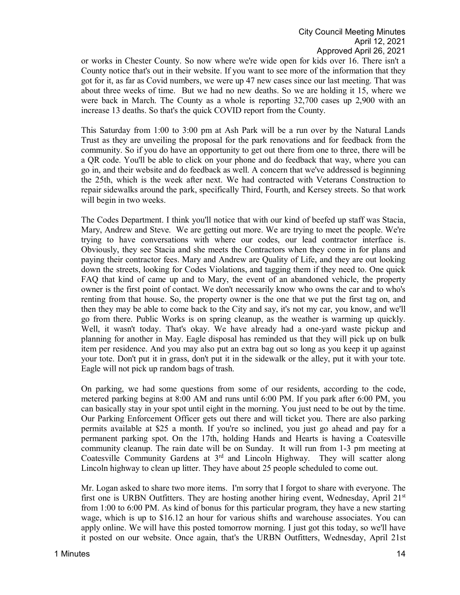or works in Chester County. So now where we're wide open for kids over 16. There isn't a County notice that's out in their website. If you want to see more of the information that they got for it, as far as Covid numbers, we were up 47 new cases since our last meeting. That was about three weeks of time. But we had no new deaths. So we are holding it 15, where we were back in March. The County as a whole is reporting 32,700 cases up 2,900 with an increase 13 deaths. So that's the quick COVID report from the County.

This Saturday from 1:00 to 3:00 pm at Ash Park will be a run over by the Natural Lands Trust as they are unveiling the proposal for the park renovations and for feedback from the community. So if you do have an opportunity to get out there from one to three, there will be a QR code. You'll be able to click on your phone and do feedback that way, where you can go in, and their website and do feedback as well. A concern that we've addressed is beginning the 25th, which is the week after next. We had contracted with Veterans Construction to repair sidewalks around the park, specifically Third, Fourth, and Kersey streets. So that work will begin in two weeks.

The Codes Department. I think you'll notice that with our kind of beefed up staff was Stacia, Mary, Andrew and Steve. We are getting out more. We are trying to meet the people. We're trying to have conversations with where our codes, our lead contractor interface is. Obviously, they see Stacia and she meets the Contractors when they come in for plans and paying their contractor fees. Mary and Andrew are Quality of Life, and they are out looking down the streets, looking for Codes Violations, and tagging them if they need to. One quick FAQ that kind of came up and to Mary, the event of an abandoned vehicle, the property owner is the first point of contact. We don't necessarily know who owns the car and to who's renting from that house. So, the property owner is the one that we put the first tag on, and then they may be able to come back to the City and say, it's not my car, you know, and we'll go from there. Public Works is on spring cleanup, as the weather is warming up quickly. Well, it wasn't today. That's okay. We have already had a one-yard waste pickup and planning for another in May. Eagle disposal has reminded us that they will pick up on bulk item per residence. And you may also put an extra bag out so long as you keep it up against your tote. Don't put it in grass, don't put it in the sidewalk or the alley, put it with your tote. Eagle will not pick up random bags of trash.

On parking, we had some questions from some of our residents, according to the code, metered parking begins at 8:00 AM and runs until 6:00 PM. If you park after 6:00 PM, you can basically stay in your spot until eight in the morning. You just need to be out by the time. Our Parking Enforcement Officer gets out there and will ticket you. There are also parking permits available at \$25 a month. If you're so inclined, you just go ahead and pay for a permanent parking spot. On the 17th, holding Hands and Hearts is having a Coatesville community cleanup. The rain date will be on Sunday. It will run from 1-3 pm meeting at Coatesville Community Gardens at  $3<sup>rd</sup>$  and Lincoln Highway. They will scatter along Lincoln highway to clean up litter. They have about 25 people scheduled to come out.

Mr. Logan asked to share two more items. I'm sorry that I forgot to share with everyone. The first one is URBN Outfitters. They are hosting another hiring event, Wednesday, April  $21<sup>st</sup>$ from 1:00 to 6:00 PM. As kind of bonus for this particular program, they have a new starting wage, which is up to \$16.12 an hour for various shifts and warehouse associates. You can apply online. We will have this posted tomorrow morning. I just got this today, so we'll have it posted on our website. Once again, that's the URBN Outfitters, Wednesday, April 21st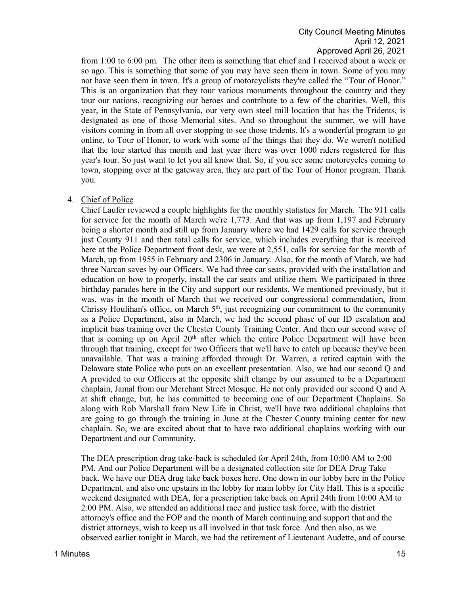from 1:00 to 6:00 pm. The other item is something that chief and I received about a week or so ago. This is something that some of you may have seen them in town. Some of you may not have seen them in town. It's a group of motorcyclists they're called the "Tour of Honor." This is an organization that they tour various monuments throughout the country and they tour our nations, recognizing our heroes and contribute to a few of the charities. Well, this year, in the State of Pennsylvania, our very own steel mill location that has the Tridents, is designated as one of those Memorial sites. And so throughout the summer, we will have visitors coming in from all over stopping to see those tridents. It's a wonderful program to go online, to Tour of Honor, to work with some of the things that they do. We weren't notified that the tour started this month and last year there was over 1000 riders registered for this year's tour. So just want to let you all know that. So, if you see some motorcycles coming to town, stopping over at the gateway area, they are part of the Tour of Honor program. Thank you.

### 4. Chief of Police

Chief Laufer reviewed a couple highlights for the monthly statistics for March. The 911 calls for service for the month of March we're 1,773. And that was up from 1,197 and February being a shorter month and still up from January where we had 1429 calls for service through just County 911 and then total calls for service, which includes everything that is received here at the Police Department front desk, we were at 2,551, calls for service for the month of March, up from 1955 in February and 2306 in January. Also, for the month of March, we had three Narcan saves by our Officers. We had three car seats, provided with the installation and education on how to properly, install the car seats and utilize them. We participated in three birthday parades here in the City and support our residents. We mentioned previously, but it was, was in the month of March that we received our congressional commendation, from Chrissy Houlihan's office, on March 5<sup>th</sup>, just recognizing our commitment to the community as a Police Department, also in March, we had the second phase of our ID escalation and implicit bias training over the Chester County Training Center. And then our second wave of that is coming up on April 20<sup>th</sup> after which the entire Police Department will have been through that training, except for two Officers that we'll have to catch up because they've been unavailable. That was a training afforded through Dr. Warren, a retired captain with the Delaware state Police who puts on an excellent presentation. Also, we had our second Q and A provided to our Officers at the opposite shift change by our assumed to be a Department chaplain, Jamal from our Merchant Street Mosque. He not only provided our second Q and A at shift change, but, he has committed to becoming one of our Department Chaplains. So along with Rob Marshall from New Life in Christ, we'll have two additional chaplains that are going to go through the training in June at the Chester County training center for new chaplain. So, we are excited about that to have two additional chaplains working with our Department and our Community,

The DEA prescription drug take-back is scheduled for April 24th, from 10:00 AM to 2:00 PM. And our Police Department will be a designated collection site for DEA Drug Take back. We have our DEA drug take back boxes here. One down in our lobby here in the Police Department, and also one upstairs in the lobby for main lobby for City Hall. This is a specific weekend designated with DEA, for a prescription take back on April 24th from 10:00 AM to 2:00 PM. Also, we attended an additional race and justice task force, with the district attorney's office and the FOP and the month of March continuing and support that and the district attorneys, wish to keep us all involved in that task force. And then also, as we observed earlier tonight in March, we had the retirement of Lieutenant Audette, and of course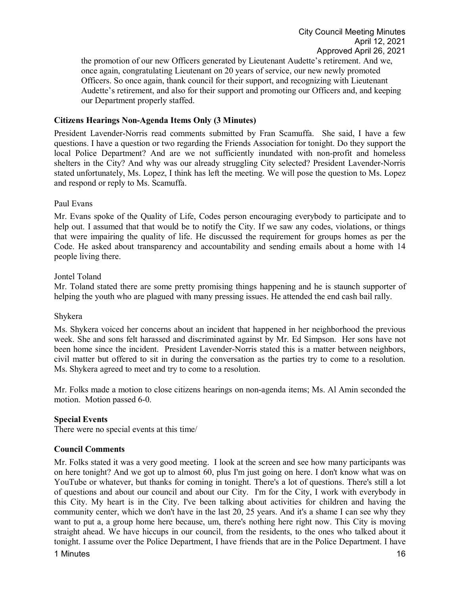the promotion of our new Officers generated by Lieutenant Audette's retirement. And we, once again, congratulating Lieutenant on 20 years of service, our new newly promoted Officers. So once again, thank council for their support, and recognizing with Lieutenant Audette's retirement, and also for their support and promoting our Officers and, and keeping our Department properly staffed.

## **Citizens Hearings Non-Agenda Items Only (3 Minutes)**

President Lavender-Norris read comments submitted by Fran Scamuffa. She said, I have a few questions. I have a question or two regarding the Friends Association for tonight. Do they support the local Police Department? And are we not sufficiently inundated with non-profit and homeless shelters in the City? And why was our already struggling City selected? President Lavender-Norris stated unfortunately, Ms. Lopez, I think has left the meeting. We will pose the question to Ms. Lopez and respond or reply to Ms. Scamuffa.

#### Paul Evans

Mr. Evans spoke of the Quality of Life, Codes person encouraging everybody to participate and to help out. I assumed that that would be to notify the City. If we saw any codes, violations, or things that were impairing the quality of life. He discussed the requirement for groups homes as per the Code. He asked about transparency and accountability and sending emails about a home with 14 people living there.

### Jontel Toland

Mr. Toland stated there are some pretty promising things happening and he is staunch supporter of helping the youth who are plagued with many pressing issues. He attended the end cash bail rally.

#### Shykera

Ms. Shykera voiced her concerns about an incident that happened in her neighborhood the previous week. She and sons felt harassed and discriminated against by Mr. Ed Simpson. Her sons have not been home since the incident. President Lavender-Norris stated this is a matter between neighbors, civil matter but offered to sit in during the conversation as the parties try to come to a resolution. Ms. Shykera agreed to meet and try to come to a resolution.

Mr. Folks made a motion to close citizens hearings on non-agenda items; Ms. Al Amin seconded the motion. Motion passed 6-0.

# **Special Events**

There were no special events at this time/

# **Council Comments**

1 Minutes **16** Mr. Folks stated it was a very good meeting. I look at the screen and see how many participants was on here tonight? And we got up to almost 60, plus I'm just going on here. I don't know what was on YouTube or whatever, but thanks for coming in tonight. There's a lot of questions. There's still a lot of questions and about our council and about our City. I'm for the City, I work with everybody in this City. My heart is in the City. I've been talking about activities for children and having the community center, which we don't have in the last 20, 25 years. And it's a shame I can see why they want to put a, a group home here because, um, there's nothing here right now. This City is moving straight ahead. We have hiccups in our council, from the residents, to the ones who talked about it tonight. I assume over the Police Department, I have friends that are in the Police Department. I have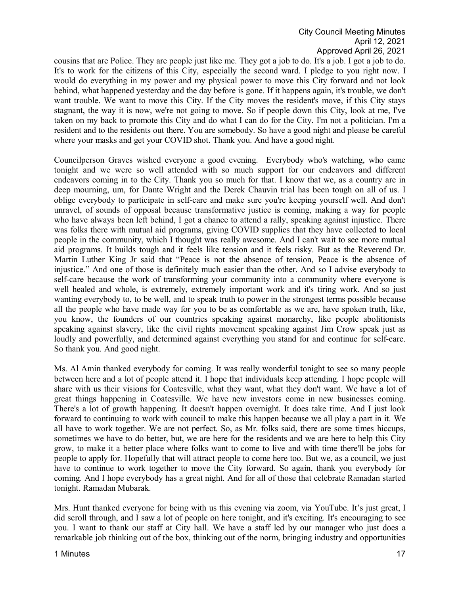cousins that are Police. They are people just like me. They got a job to do. It's a job. I got a job to do. It's to work for the citizens of this City, especially the second ward. I pledge to you right now. I would do everything in my power and my physical power to move this City forward and not look behind, what happened yesterday and the day before is gone. If it happens again, it's trouble, we don't want trouble. We want to move this City. If the City moves the resident's move, if this City stays stagnant, the way it is now, we're not going to move. So if people down this City, look at me, I've taken on my back to promote this City and do what I can do for the City. I'm not a politician. I'm a resident and to the residents out there. You are somebody. So have a good night and please be careful where your masks and get your COVID shot. Thank you. And have a good night.

Councilperson Graves wished everyone a good evening. Everybody who's watching, who came tonight and we were so well attended with so much support for our endeavors and different endeavors coming in to the City. Thank you so much for that. I know that we, as a country are in deep mourning, um, for Dante Wright and the Derek Chauvin trial has been tough on all of us. I oblige everybody to participate in self-care and make sure you're keeping yourself well. And don't unravel, of sounds of opposal because transformative justice is coming, making a way for people who have always been left behind, I got a chance to attend a rally, speaking against injustice. There was folks there with mutual aid programs, giving COVID supplies that they have collected to local people in the community, which I thought was really awesome. And I can't wait to see more mutual aid programs. It builds tough and it feels like tension and it feels risky. But as the Reverend Dr. Martin Luther King Jr said that "Peace is not the absence of tension, Peace is the absence of injustice." And one of those is definitely much easier than the other. And so I advise everybody to self-care because the work of transforming your community into a community where everyone is well healed and whole, is extremely, extremely important work and it's tiring work. And so just wanting everybody to, to be well, and to speak truth to power in the strongest terms possible because all the people who have made way for you to be as comfortable as we are, have spoken truth, like, you know, the founders of our countries speaking against monarchy, like people abolitionists speaking against slavery, like the civil rights movement speaking against Jim Crow speak just as loudly and powerfully, and determined against everything you stand for and continue for self-care. So thank you. And good night.

Ms. Al Amin thanked everybody for coming. It was really wonderful tonight to see so many people between here and a lot of people attend it. I hope that individuals keep attending. I hope people will share with us their visions for Coatesville, what they want, what they don't want. We have a lot of great things happening in Coatesville. We have new investors come in new businesses coming. There's a lot of growth happening. It doesn't happen overnight. It does take time. And I just look forward to continuing to work with council to make this happen because we all play a part in it. We all have to work together. We are not perfect. So, as Mr. folks said, there are some times hiccups, sometimes we have to do better, but, we are here for the residents and we are here to help this City grow, to make it a better place where folks want to come to live and with time there'll be jobs for people to apply for. Hopefully that will attract people to come here too. But we, as a council, we just have to continue to work together to move the City forward. So again, thank you everybody for coming. And I hope everybody has a great night. And for all of those that celebrate Ramadan started tonight. Ramadan Mubarak.

Mrs. Hunt thanked everyone for being with us this evening via zoom, via YouTube. It's just great, I did scroll through, and I saw a lot of people on here tonight, and it's exciting. It's encouraging to see you. I want to thank our staff at City hall. We have a staff led by our manager who just does a remarkable job thinking out of the box, thinking out of the norm, bringing industry and opportunities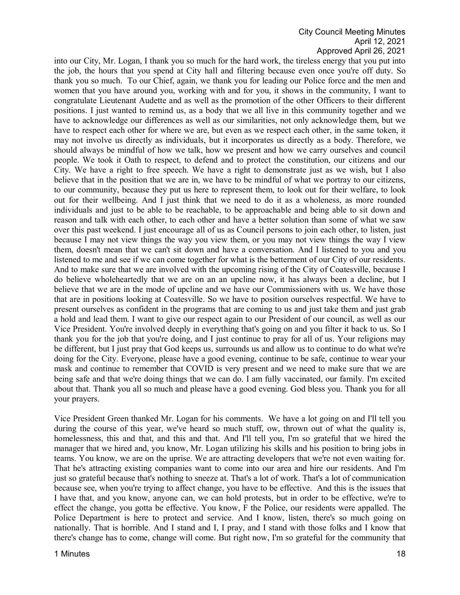into our City, Mr. Logan, I thank you so much for the hard work, the tireless energy that you put into the job, the hours that you spend at City hall and filtering because even once you're off duty. So thank you so much. To our Chief, again, we thank you for leading our Police force and the men and women that you have around you, working with and for you, it shows in the community, I want to congratulate Lieutenant Audette and as well as the promotion of the other Officers to their different positions. I just wanted to remind us, as a body that we all live in this community together and we have to acknowledge our differences as well as our similarities, not only acknowledge them, but we have to respect each other for where we are, but even as we respect each other, in the same token, it may not involve us directly as individuals, but it incorporates us directly as a body. Therefore, we should always be mindful of how we talk, how we present and how we carry ourselves and council people. We took it Oath to respect, to defend and to protect the constitution, our citizens and our City. We have a right to free speech. We have a right to demonstrate just as we wish, but I also believe that in the position that we are in, we have to be mindful of what we portray to our citizens, to our community, because they put us here to represent them, to look out for their welfare, to look out for their wellbeing. And I just think that we need to do it as a wholeness, as more rounded individuals and just to be able to be reachable, to be approachable and being able to sit down and reason and talk with each other, to each other and have a better solution than some of what we saw over this past weekend. I just encourage all of us as Council persons to join each other, to listen, just because I may not view things the way you view them, or you may not view things the way I view them, doesn't mean that we can't sit down and have a conversation. And I listened to you and you listened to me and see if we can come together for what is the betterment of our City of our residents. And to make sure that we are involved with the upcoming rising of the City of Coatesville, because I do believe wholeheartedly that we are on an an upcline now, it has always been a decline, but I believe that we are in the mode of upcline and we have our Commissioners with us. We have those that are in positions looking at Coatesville. So we have to position ourselves respectful. We have to present ourselves as confident in the programs that are coming to us and just take them and just grab a hold and lead them. I want to give our respect again to our President of our council, as well as our Vice President. You're involved deeply in everything that's going on and you filter it back to us. So I thank you for the job that you're doing, and I just continue to pray for all of us. Your religions may be different, but I just pray that God keeps us, surrounds us and allow us to continue to do what we're doing for the City. Everyone, please have a good evening, continue to be safe, continue to wear your mask and continue to remember that COVID is very present and we need to make sure that we are being safe and that we're doing things that we can do. I am fully vaccinated, our family. I'm excited about that. Thank you all so much and please have a good evening. God bless you. Thank you for all your prayers.

Vice President Green thanked Mr. Logan for his comments. We have a lot going on and I'll tell you during the course of this year, we've heard so much stuff, ow, thrown out of what the quality is, homelessness, this and that, and this and that. And I'll tell you, I'm so grateful that we hired the manager that we hired and, you know, Mr. Logan utilizing his skills and his position to bring jobs in teams. You know, we are on the uprise. We are attracting developers that we're not even waiting for. That he's attracting existing companies want to come into our area and hire our residents. And I'm just so grateful because that's nothing to sneeze at. That's a lot of work. That's a lot of communication because see, when you're trying to affect change, you have to be effective. And this is the issues that I have that, and you know, anyone can, we can hold protests, but in order to be effective, we're to effect the change, you gotta be effective. You know, F the Police, our residents were appalled. The Police Department is here to protect and service. And I know, listen, there's so much going on nationally. That is horrible. And I stand and I, I pray, and I stand with those folks and I know that there's change has to come, change will come. But right now, I'm so grateful for the community that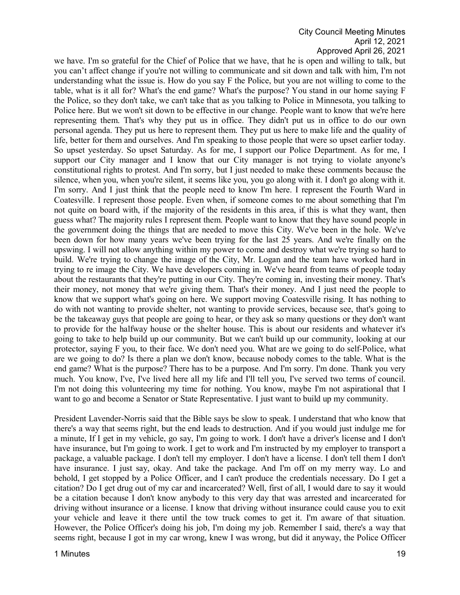we have. I'm so grateful for the Chief of Police that we have, that he is open and willing to talk, but you can't affect change if you're not willing to communicate and sit down and talk with him, I'm not understanding what the issue is. How do you say F the Police, but you are not willing to come to the table, what is it all for? What's the end game? What's the purpose? You stand in our home saying F the Police, so they don't take, we can't take that as you talking to Police in Minnesota, you talking to Police here. But we won't sit down to be effective in our change. People want to know that we're here representing them. That's why they put us in office. They didn't put us in office to do our own personal agenda. They put us here to represent them. They put us here to make life and the quality of life, better for them and ourselves. And I'm speaking to those people that were so upset earlier today. So upset yesterday. So upset Saturday. As for me, I support our Police Department. As for me, I support our City manager and I know that our City manager is not trying to violate anyone's constitutional rights to protest. And I'm sorry, but I just needed to make these comments because the silence, when you, when you're silent, it seems like you, you go along with it. I don't go along with it. I'm sorry. And I just think that the people need to know I'm here. I represent the Fourth Ward in Coatesville. I represent those people. Even when, if someone comes to me about something that I'm not quite on board with, if the majority of the residents in this area, if this is what they want, then guess what? The majority rules I represent them. People want to know that they have sound people in the government doing the things that are needed to move this City. We've been in the hole. We've been down for how many years we've been trying for the last 25 years. And we're finally on the upswing. I will not allow anything within my power to come and destroy what we're trying so hard to build. We're trying to change the image of the City, Mr. Logan and the team have worked hard in trying to re image the City. We have developers coming in. We've heard from teams of people today about the restaurants that they're putting in our City. They're coming in, investing their money. That's their money, not money that we're giving them. That's their money. And I just need the people to know that we support what's going on here. We support moving Coatesville rising. It has nothing to do with not wanting to provide shelter, not wanting to provide services, because see, that's going to be the takeaway guys that people are going to hear, or they ask so many questions or they don't want to provide for the halfway house or the shelter house. This is about our residents and whatever it's going to take to help build up our community. But we can't build up our community, looking at our protector, saying F you, to their face. We don't need you. What are we going to do self-Police, what are we going to do? Is there a plan we don't know, because nobody comes to the table. What is the end game? What is the purpose? There has to be a purpose. And I'm sorry. I'm done. Thank you very much. You know, I've, I've lived here all my life and I'll tell you, I've served two terms of council. I'm not doing this volunteering my time for nothing. You know, maybe I'm not aspirational that I want to go and become a Senator or State Representative. I just want to build up my community.

President Lavender-Norris said that the Bible says be slow to speak. I understand that who know that there's a way that seems right, but the end leads to destruction. And if you would just indulge me for a minute, If I get in my vehicle, go say, I'm going to work. I don't have a driver's license and I don't have insurance, but I'm going to work. I get to work and I'm instructed by my employer to transport a package, a valuable package. I don't tell my employer. I don't have a license. I don't tell them I don't have insurance. I just say, okay. And take the package. And I'm off on my merry way. Lo and behold, I get stopped by a Police Officer, and I can't produce the credentials necessary. Do I get a citation? Do I get drug out of my car and incarcerated? Well, first of all, I would dare to say it would be a citation because I don't know anybody to this very day that was arrested and incarcerated for driving without insurance or a license. I know that driving without insurance could cause you to exit your vehicle and leave it there until the tow truck comes to get it. I'm aware of that situation. However, the Police Officer's doing his job, I'm doing my job. Remember I said, there's a way that seems right, because I got in my car wrong, knew I was wrong, but did it anyway, the Police Officer